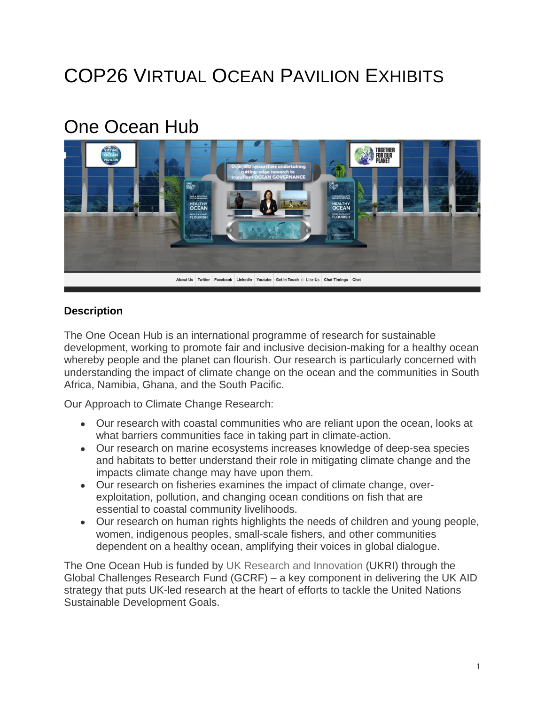# COP26 VIRTUAL OCEAN PAVILION EXHIBITS

## One Ocean Hub



#### **Description**

The One Ocean Hub is an international programme of research for sustainable development, working to promote fair and inclusive decision-making for a healthy ocean whereby people and the planet can flourish. Our research is particularly concerned with understanding the impact of climate change on the ocean and the communities in South Africa, Namibia, Ghana, and the South Pacific.

Our Approach to Climate Change Research:

- Our research with coastal communities who are reliant upon the ocean, looks at what barriers communities face in taking part in climate-action.
- Our research on marine ecosystems increases knowledge of deep-sea species and habitats to better understand their role in mitigating climate change and the impacts climate change may have upon them.
- Our research on fisheries examines the impact of climate change, overexploitation, pollution, and changing ocean conditions on fish that are essential to coastal community livelihoods.
- Our research on human rights highlights the needs of children and young people, women, indigenous peoples, small-scale fishers, and other communities dependent on a healthy ocean, amplifying their voices in global dialogue.

The One Ocean Hub is funded by UK Research and [Innovation](https://www.ukri.org/our-work/collaborating-internationally/global-challenges-research-fund/) (UKRI) through the Global Challenges Research Fund (GCRF) – a key component in delivering the UK AID strategy that puts UK-led research at the heart of efforts to tackle the United Nations Sustainable Development Goals.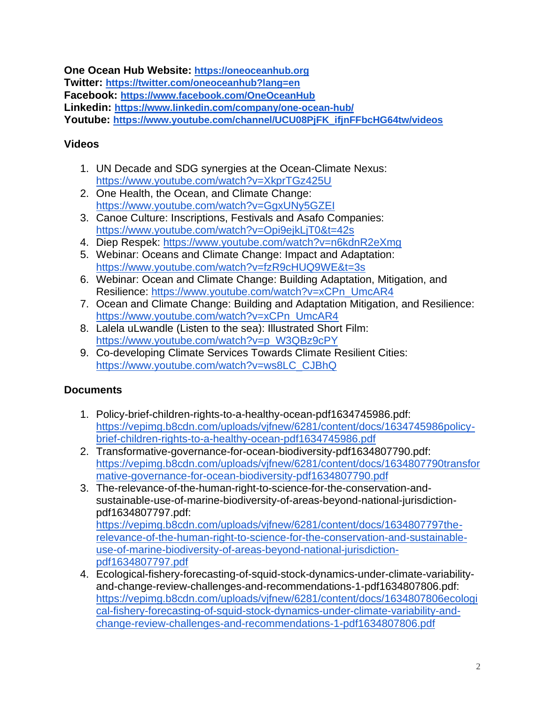**One Ocean Hub Website: [https://oneoceanhub.org](https://oneoceanhub.org/)**

**Twitter: <https://twitter.com/oneoceanhub?lang=en>**

**Facebook: <https://www.facebook.com/OneOceanHub>**

**Linkedin: <https://www.linkedin.com/company/one-ocean-hub/>**

**Youtube: [https://www.youtube.com/channel/UCU08PjFK\\_ifjnFFbcHG64tw/videos](https://www.youtube.com/channel/UCU08PjFK_ifjnFFbcHG64tw/videos)**

### **Videos**

- 1. UN Decade and SDG synergies at the Ocean-Climate Nexus: <https://www.youtube.com/watch?v=XkprTGz425U>
- 2. One Health, the Ocean, and Climate Change: <https://www.youtube.com/watch?v=GgxUNy5GZEI>
- 3. Canoe Culture: Inscriptions, Festivals and Asafo Companies: <https://www.youtube.com/watch?v=Opi9ejkLjT0&t=42s>
- 4. Diep Respek: <https://www.youtube.com/watch?v=n6kdnR2eXmg>
- 5. Webinar: Oceans and Climate Change: Impact and Adaptation: <https://www.youtube.com/watch?v=fzR9cHUQ9WE&t=3s>
- 6. Webinar: Ocean and Climate Change: Building Adaptation, Mitigation, and Resilience: [https://www.youtube.com/watch?v=xCPn\\_UmcAR4](https://www.youtube.com/watch?v=xCPn_UmcAR4)
- 7. Ocean and Climate Change: Building and Adaptation Mitigation, and Resilience: [https://www.youtube.com/watch?v=xCPn\\_UmcAR4](https://www.youtube.com/watch?v=xCPn_UmcAR4)
- 8. Lalela uLwandle (Listen to the sea): Illustrated Short Film: [https://www.youtube.com/watch?v=p\\_W3QBz9cPY](https://www.youtube.com/watch?v=p_W3QBz9cPY)
- 9. Co-developing Climate Services Towards Climate Resilient Cities: [https://www.youtube.com/watch?v=ws8LC\\_CJBhQ](https://www.youtube.com/watch?v=ws8LC_CJBhQ)

## **Documents**

- 1. Policy-brief-children-rights-to-a-healthy-ocean-pdf1634745986.pdf: [https://vepimg.b8cdn.com/uploads/vjfnew/6281/content/docs/1634745986policy](https://vepimg.b8cdn.com/uploads/vjfnew/6281/content/docs/1634745986policy-brief-children-rights-to-a-healthy-ocean-pdf1634745986.pdf)[brief-children-rights-to-a-healthy-ocean-pdf1634745986.pdf](https://vepimg.b8cdn.com/uploads/vjfnew/6281/content/docs/1634745986policy-brief-children-rights-to-a-healthy-ocean-pdf1634745986.pdf)
- 2. Transformative-governance-for-ocean-biodiversity-pdf1634807790.pdf: [https://vepimg.b8cdn.com/uploads/vjfnew/6281/content/docs/1634807790transfor](https://vepimg.b8cdn.com/uploads/vjfnew/6281/content/docs/1634807790transformative-governance-for-ocean-biodiversity-pdf1634807790.pdf) [mative-governance-for-ocean-biodiversity-pdf1634807790.pdf](https://vepimg.b8cdn.com/uploads/vjfnew/6281/content/docs/1634807790transformative-governance-for-ocean-biodiversity-pdf1634807790.pdf)
- 3. The-relevance-of-the-human-right-to-science-for-the-conservation-andsustainable-use-of-marine-biodiversity-of-areas-beyond-national-jurisdictionpdf1634807797.pdf: [https://vepimg.b8cdn.com/uploads/vjfnew/6281/content/docs/1634807797the](https://vepimg.b8cdn.com/uploads/vjfnew/6281/content/docs/1634807797the-relevance-of-the-human-right-to-science-for-the-conservation-and-sustainable-use-of-marine-biodiversity-of-areas-beyond-national-jurisdiction-pdf1634807797.pdf)[relevance-of-the-human-right-to-science-for-the-conservation-and-sustainable](https://vepimg.b8cdn.com/uploads/vjfnew/6281/content/docs/1634807797the-relevance-of-the-human-right-to-science-for-the-conservation-and-sustainable-use-of-marine-biodiversity-of-areas-beyond-national-jurisdiction-pdf1634807797.pdf)[use-of-marine-biodiversity-of-areas-beyond-national-jurisdiction](https://vepimg.b8cdn.com/uploads/vjfnew/6281/content/docs/1634807797the-relevance-of-the-human-right-to-science-for-the-conservation-and-sustainable-use-of-marine-biodiversity-of-areas-beyond-national-jurisdiction-pdf1634807797.pdf)[pdf1634807797.pdf](https://vepimg.b8cdn.com/uploads/vjfnew/6281/content/docs/1634807797the-relevance-of-the-human-right-to-science-for-the-conservation-and-sustainable-use-of-marine-biodiversity-of-areas-beyond-national-jurisdiction-pdf1634807797.pdf)
- 4. Ecological-fishery-forecasting-of-squid-stock-dynamics-under-climate-variabilityand-change-review-challenges-and-recommendations-1-pdf1634807806.pdf: [https://vepimg.b8cdn.com/uploads/vjfnew/6281/content/docs/1634807806ecologi](https://vepimg.b8cdn.com/uploads/vjfnew/6281/content/docs/1634807806ecological-fishery-forecasting-of-squid-stock-dynamics-under-climate-variability-and-change-review-challenges-and-recommendations-1-pdf1634807806.pdf) [cal-fishery-forecasting-of-squid-stock-dynamics-under-climate-variability-and](https://vepimg.b8cdn.com/uploads/vjfnew/6281/content/docs/1634807806ecological-fishery-forecasting-of-squid-stock-dynamics-under-climate-variability-and-change-review-challenges-and-recommendations-1-pdf1634807806.pdf)[change-review-challenges-and-recommendations-1-pdf1634807806.pdf](https://vepimg.b8cdn.com/uploads/vjfnew/6281/content/docs/1634807806ecological-fishery-forecasting-of-squid-stock-dynamics-under-climate-variability-and-change-review-challenges-and-recommendations-1-pdf1634807806.pdf)